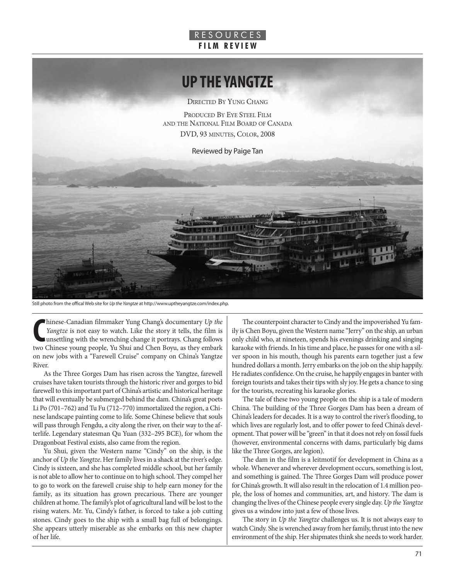## R E S O U R C E S **F I L M R E V I E W**

## **UP THE YANGTZE**

DIRECTED BY YUNG CHANG

PRODUCED BY EYE STEEL FILM AND THE NATIONAL FILM BOARD OF CANADA DVD, 93 MINUTES, COLOR, 2008

Reviewed by Paige Tan

Still photo from the offical Web site for *Up the Yangtze* at http://www.uptheyangtze.com/index.php.

Innese-Canadian filmmaker Yung Chang's documentary Up the Yangtze is not easy to watch. Like the story it tells, the film is unsettling with the wrenching change it portrays. Chang follows two Chinese young people, Yu Shui hinese-Canadian filmmaker Yung Chang's documentary *Up the Yangtze* is not easy to watch. Like the story it tells, the film is unsettling with the wrenching change it portrays. Chang follows on new jobs with a "Farewell Cruise" company on China's Yangtze River.

As the Three Gorges Dam has risen across the Yangtze, farewell cruises have taken tourists through the historic river and gorges to bid farewell to this important part of China's artistic and historical heritage that will eventually be submerged behind the dam. China's great poets Li Po (701–762) and Tu Fu (712–770) immortalized the region, a Chinese landscape painting come to life. Some Chinese believe that souls will pass through Fengdu, a city along the river, on their way to the afterlife. Legendary statesman Qu Yuan (332–295 BCE), for whom the Dragonboat Festival exists, also came from the region.

Yu Shui, given the Western name "Cindy" on the ship, is the anchor of *Up the Yangtze*. Her family lives in a shack at the river's edge. Cindy is sixteen, and she has completed middle school, but her family is not able to allow her to continue on to high school. They compel her to go to work on the farewell cruise ship to help earn money for the family, as its situation has grown precarious. There are younger children at home. The family's plot of agricultural land will be lost to the rising waters. Mr. Yu, Cindy's father, is forced to take a job cutting stones. Cindy goes to the ship with a small bag full of belongings. She appears utterly miserable as she embarks on this new chapter of her life.

The counterpoint character to Cindy and the impoverished Yu family is Chen Boyu, given the Western name "Jerry" on the ship, an urban only child who, at nineteen, spends his evenings drinking and singing karaoke with friends. In his time and place, he passes for one with a silver spoon in his mouth, though his parents earn together just a few hundred dollars a month. Jerry embarks on the job on the ship happily. He radiates confidence. On the cruise, he happily engages in banter with foreign tourists and takes their tips with sly joy. He gets a chance to sing for the tourists, recreating his karaoke glories.

The tale of these two young people on the ship is a tale of modern China. The building of the Three Gorges Dam has been a dream of China's leaders for decades. It is a way to control the river's flooding, to which lives are regularly lost, and to offer power to feed China's development. That power will be "green" in that it does not rely on fossil fuels (however, environmental concerns with dams, particularly big dams like the Three Gorges, are legion).

The dam in the film is a leitmotif for development in China as a whole. Whenever and wherever development occurs, something is lost, and something is gained. The Three Gorges Dam will produce power for China's growth. It will also result in the relocation of 1.4 million people, the loss of homes and communities, art, and history. The dam is changing the lives of the Chinese people every single day. *Up the Yangtze* gives us a window into just a few of those lives.

The story in *Up the Yangtze* challenges us. It is not always easy to watch Cindy. She is wrenched away from her family, thrust into the new environment of the ship. Her shipmates think she needs to work harder.